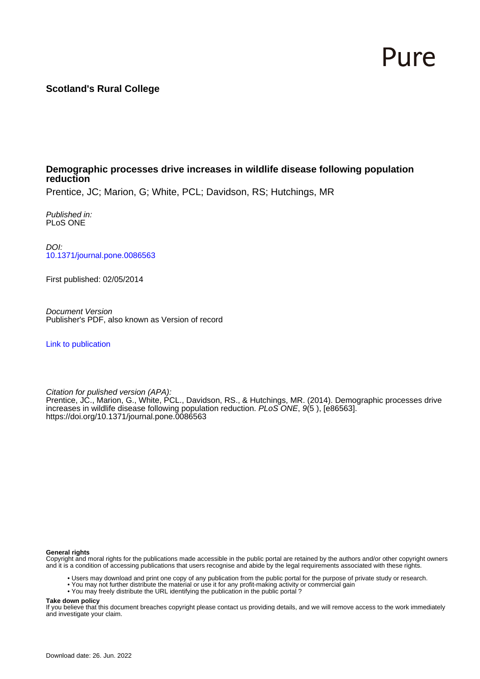# Pure

# **Scotland's Rural College**

# **Demographic processes drive increases in wildlife disease following population reduction**

Prentice, JC; Marion, G; White, PCL; Davidson, RS; Hutchings, MR

Published in: PLoS ONE

DOI: [10.1371/journal.pone.0086563](https://doi.org/10.1371/journal.pone.0086563)

First published: 02/05/2014

Document Version Publisher's PDF, also known as Version of record

[Link to publication](https://pure.sruc.ac.uk/en/publications/45c01518-aa09-4ee3-bae9-c269476e3196)

Citation for pulished version (APA):

Prentice, JC., Marion, G., White, PCL., Davidson, RS., & Hutchings, MR. (2014). Demographic processes drive increases in wildlife disease following population reduction. PLoS ONE, 9(5 ), [e86563]. <https://doi.org/10.1371/journal.pone.0086563>

#### **General rights**

Copyright and moral rights for the publications made accessible in the public portal are retained by the authors and/or other copyright owners and it is a condition of accessing publications that users recognise and abide by the legal requirements associated with these rights.

- Users may download and print one copy of any publication from the public portal for the purpose of private study or research.
- You may not further distribute the material or use it for any profit-making activity or commercial gain
- You may freely distribute the URL identifying the publication in the public portal ?

#### **Take down policy**

If you believe that this document breaches copyright please contact us providing details, and we will remove access to the work immediately and investigate your claim.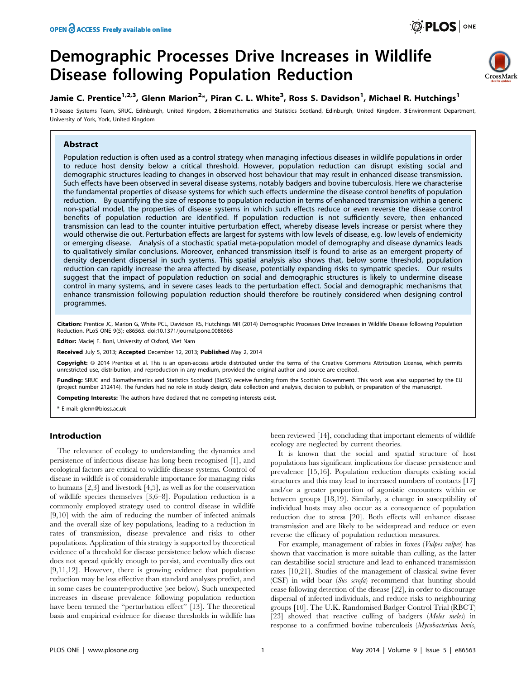

**O PLOS** ONE

## Jamie C. Prentice<sup>1,2,3</sup>, Glenn Marion<sup>2</sup>\*, Piran C. L. White<sup>3</sup>, Ross S. Davidson<sup>1</sup>, Michael R. Hutchings<sup>1</sup>

1 Disease Systems Team, SRUC, Edinburgh, United Kingdom, 2 Biomathematics and Statistics Scotland, Edinburgh, United Kingdom, 3 Environment Department, University of York, York, United Kingdom

## Abstract

Population reduction is often used as a control strategy when managing infectious diseases in wildlife populations in order to reduce host density below a critical threshold. However, population reduction can disrupt existing social and demographic structures leading to changes in observed host behaviour that may result in enhanced disease transmission. Such effects have been observed in several disease systems, notably badgers and bovine tuberculosis. Here we characterise the fundamental properties of disease systems for which such effects undermine the disease control benefits of population reduction. By quantifying the size of response to population reduction in terms of enhanced transmission within a generic non-spatial model, the properties of disease systems in which such effects reduce or even reverse the disease control benefits of population reduction are identified. If population reduction is not sufficiently severe, then enhanced transmission can lead to the counter intuitive perturbation effect, whereby disease levels increase or persist where they would otherwise die out. Perturbation effects are largest for systems with low levels of disease, e.g. low levels of endemicity or emerging disease. Analysis of a stochastic spatial meta-population model of demography and disease dynamics leads to qualitatively similar conclusions. Moreover, enhanced transmission itself is found to arise as an emergent property of density dependent dispersal in such systems. This spatial analysis also shows that, below some threshold, population reduction can rapidly increase the area affected by disease, potentially expanding risks to sympatric species. Our results suggest that the impact of population reduction on social and demographic structures is likely to undermine disease control in many systems, and in severe cases leads to the perturbation effect. Social and demographic mechanisms that enhance transmission following population reduction should therefore be routinely considered when designing control programmes.

Citation: Prentice JC, Marion G, White PCL, Davidson RS, Hutchings MR (2014) Demographic Processes Drive Increases in Wildlife Disease following Population Reduction. PLoS ONE 9(5): e86563. doi:10.1371/journal.pone.0086563

Editor: Maciej F. Boni, University of Oxford, Viet Nam

Received July 5, 2013; Accepted December 12, 2013; Published May 2, 2014

**Copyright:** © 2014 Prentice et al. This is an open-access article distributed under the terms of the Creative Commons Attribution License, which permits unrestricted use, distribution, and reproduction in any medium, provided the original author and source are credited.

Funding: SRUC and Biomathematics and Statistics Scotland (BioSS) receive funding from the Scottish Government. This work was also supported by the EU (project number 212414). The funders had no role in study design, data collection and analysis, decision to publish, or preparation of the manuscript.

Competing Interests: The authors have declared that no competing interests exist.

\* E-mail: glenn@bioss.ac.uk

#### Introduction

The relevance of ecology to understanding the dynamics and persistence of infectious disease has long been recognised [1], and ecological factors are critical to wildlife disease systems. Control of disease in wildlife is of considerable importance for managing risks to humans [2,3] and livestock [4,5], as well as for the conservation of wildlife species themselves [3,6–8]. Population reduction is a commonly employed strategy used to control disease in wildlife [9,10] with the aim of reducing the number of infected animals and the overall size of key populations, leading to a reduction in rates of transmission, disease prevalence and risks to other populations. Application of this strategy is supported by theoretical evidence of a threshold for disease persistence below which disease does not spread quickly enough to persist, and eventually dies out [9,11,12]. However, there is growing evidence that population reduction may be less effective than standard analyses predict, and in some cases be counter-productive (see below). Such unexpected increases in disease prevalence following population reduction have been termed the ''perturbation effect'' [13]. The theoretical basis and empirical evidence for disease thresholds in wildlife has

been reviewed [14], concluding that important elements of wildlife ecology are neglected by current theories.

It is known that the social and spatial structure of host populations has significant implications for disease persistence and prevalence [15,16]. Population reduction disrupts existing social structures and this may lead to increased numbers of contacts [17] and/or a greater proportion of agonistic encounters within or between groups [18,19]. Similarly, a change in susceptibility of individual hosts may also occur as a consequence of population reduction due to stress [20]. Both effects will enhance disease transmission and are likely to be widespread and reduce or even reverse the efficacy of population reduction measures.

For example, management of rabies in foxes (*Vulpes vulpes*) has shown that vaccination is more suitable than culling, as the latter can destabilise social structure and lead to enhanced transmission rates [10,21]. Studies of the management of classical swine fever (CSF) in wild boar (Sus scrofa) recommend that hunting should cease following detection of the disease [22], in order to discourage dispersal of infected individuals, and reduce risks to neighbouring groups [10]. The U.K. Randomised Badger Control Trial (RBCT) [23] showed that reactive culling of badgers (Meles meles) in response to a confirmed bovine tuberculosis (Mycobacterium bovis,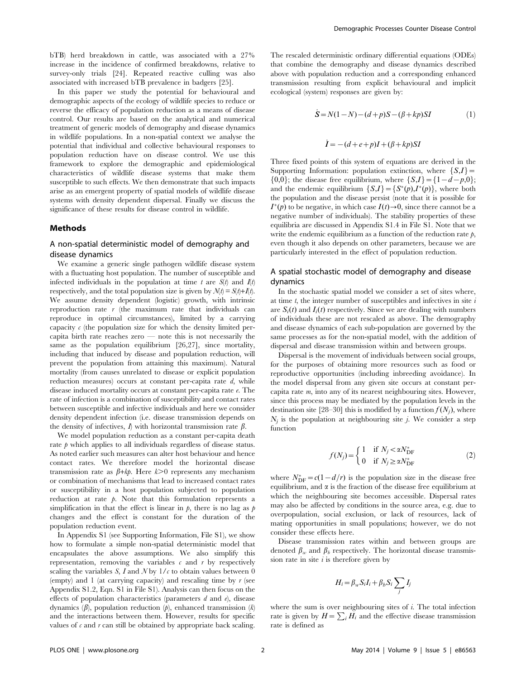bTB) herd breakdown in cattle, was associated with a 27% increase in the incidence of confirmed breakdowns, relative to survey-only trials [24]. Repeated reactive culling was also associated with increased bTB prevalence in badgers [25].

In this paper we study the potential for behavioural and demographic aspects of the ecology of wildlife species to reduce or reverse the efficacy of population reduction as a means of disease control. Our results are based on the analytical and numerical treatment of generic models of demography and disease dynamics in wildlife populations. In a non-spatial context we analyse the potential that individual and collective behavioural responses to population reduction have on disease control. We use this framework to explore the demographic and epidemiological characteristics of wildlife disease systems that make them susceptible to such effects. We then demonstrate that such impacts arise as an emergent property of spatial models of wildlife disease systems with density dependent dispersal. Finally we discuss the significance of these results for disease control in wildlife.

#### Methods

## A non-spatial deterministic model of demography and disease dynamics

We examine a generic single pathogen wildlife disease system with a fluctuating host population. The number of susceptible and infected individuals in the population at time t are  $S(t)$  and  $I(t)$ respectively, and the total population size is given by  $\mathcal{N}(t) = \mathcal{S}(t) + I(t)$ . We assume density dependent (logistic) growth, with intrinsic reproduction rate  $r$  (the maximum rate that individuals can reproduce in optimal circumstances), limited by a carrying capacity  $c$  (the population size for which the density limited percapita birth rate reaches zero — note this is not necessarily the same as the population equilibrium [26,27], since mortality, including that induced by disease and population reduction, will prevent the population from attaining this maximum). Natural mortality (from causes unrelated to disease or explicit population reduction measures) occurs at constant per-capita rate  $d$ , while disease induced mortality occurs at constant per-capita rate e. The rate of infection is a combination of susceptibility and contact rates between susceptible and infective individuals and here we consider density dependent infection (i.e. disease transmission depends on the density of infectives,  $I$ ) with horizontal transmission rate  $\beta$ .

We model population reduction as a constant per-capita death rate  $p$  which applies to all individuals regardless of disease status. As noted earlier such measures can alter host behaviour and hence contact rates. We therefore model the horizontal disease transmission rate as  $\beta + k\rho$ . Here  $k > 0$  represents any mechanism or combination of mechanisms that lead to increased contact rates or susceptibility in a host population subjected to population reduction at rate  $\beta$ . Note that this formulation represents a simplification in that the effect is linear in  $p$ , there is no lag as  $p$ changes and the effect is constant for the duration of the population reduction event.

In Appendix S1 (see Supporting Information, File S1), we show how to formulate a simple non-spatial deterministic model that encapsulates the above assumptions. We also simplify this representation, removing the variables  $c$  and  $r$  by respectively scaling the variables S,  $\overline{I}$  and  $N$  by  $1/c$  to obtain values between 0 (empty) and 1 (at carrying capacity) and rescaling time by  $r$  (see Appendix S1.2, Eqn. S1 in File S1). Analysis can then focus on the effects of population characteristics (parameters  $d$  and  $e$ ), disease dynamics  $(\beta)$ , population reduction  $(\beta)$ , enhanced transmission  $(k)$ and the interactions between them. However, results for specific values of  $\epsilon$  and  $r$  can still be obtained by appropriate back scaling.

The rescaled deterministic ordinary differential equations (ODEs) that combine the demography and disease dynamics described above with population reduction and a corresponding enhanced transmission resulting from explicit behavioural and implicit ecological (system) responses are given by:

$$
\dot{S} = N(1 - N) - (d + p)S - (\beta + kp)SI \tag{1}
$$

$$
\dot{I} = -(d + e + p)I + (\beta + kp)SI
$$

Three fixed points of this system of equations are derived in the Supporting Information: population extinction, where  $\{S,I\}$  =  $\{0,0\}$ ; the disease free equilibrium, where  $\{S,I\} = \{1-d-p,0\}$ ; and the endemic equilibrium  $\{S,I\} = \{S^*(p),I^*(p)\}\,$ , where both the population and the disease persist (note that it is possible for  $I^*(p)$  to be negative, in which case  $I(t) \rightarrow 0$ , since there cannot be a negative number of individuals). The stability properties of these equilibria are discussed in Appendix S1.4 in File S1. Note that we write the endemic equilibrium as a function of the reduction rate  $p$ , even though it also depends on other parameters, because we are particularly interested in the effect of population reduction.

## A spatial stochastic model of demography and disease dynamics

In the stochastic spatial model we consider a set of sites where, at time  $t$ , the integer number of susceptibles and infectives in site  $i$ are  $S_i(t)$  and  $I_i(t)$  respectively. Since we are dealing with numbers of individuals these are not rescaled as above. The demography and disease dynamics of each sub-population are governed by the same processes as for the non-spatial model, with the addition of dispersal and disease transmission within and between groups.

Dispersal is the movement of individuals between social groups, for the purposes of obtaining more resources such as food or reproductive opportunities (including inbreeding avoidance). In the model dispersal from any given site occurs at constant percapita rate m, into any of its nearest neighbouring sites. However, since this process may be mediated by the population levels in the destination site [28–30] this is modified by a function  $f(N_i)$ , where  $N_i$  is the population at neighbouring site *j*. We consider a step function

$$
f(N_j) = \begin{cases} 1 & \text{if } N_j < \alpha N_{\text{DF}}^* \\ 0 & \text{if } N_j \ge \alpha N_{\text{DF}}^* \end{cases}
$$
 (2)

where  $N_{\text{DF}}^{*}=c(1-d/r)$  is the population size in the disease free equilibrium, and  $\alpha$  is the fraction of the disease free equilibrium at which the neighbouring site becomes accessible. Dispersal rates may also be affected by conditions in the source area, e.g. due to overpopulation, social exclusion, or lack of resources, lack of mating opportunities in small populations; however, we do not consider these effects here.

Disease transmission rates within and between groups are denoted  $\beta_w$  and  $\beta_b$  respectively. The horizontal disease transmission rate in site  $i$  is therefore given by

$$
H_i = \beta_w S_i I_i + \beta_b S_i \sum_j I_j
$$

where the sum is over neighbouring sites of  $i$ . The total infection where the sum is over heighbouring sites of the transmission<br>rate is given by  $H = \sum_i H_i$  and the effective disease transmission rate is defined as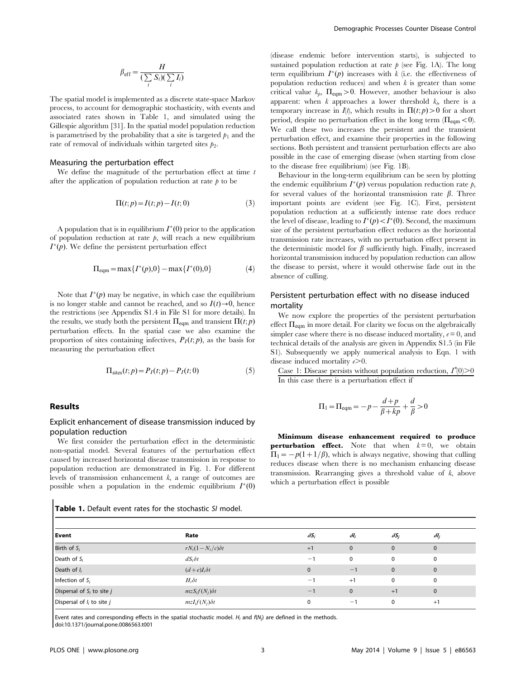$$
\beta_{\text{eff}} = \frac{H}{\left(\sum_{i} S_{i}\right)\left(\sum_{i} I_{i}\right)}
$$

The spatial model is implemented as a discrete state-space Markov process, to account for demographic stochasticity, with events and associated rates shown in Table 1, and simulated using the Gillespie algorithm [31]. In the spatial model population reduction is parametrised by the probability that a site is targeted  $p_1$  and the rate of removal of individuals within targeted sites  $p_2$ .

### Measuring the perturbation effect

We define the magnitude of the perturbation effect at time  $t$ after the application of population reduction at rate  $\phi$  to be

$$
\Pi(t;p) = I(t;p) - I(t;0)
$$
\n
$$
(3)
$$

A population that is in equilibrium  $I^*(0)$  prior to the application of population reduction at rate  $\beta$ , will reach a new equilibrium  $I^*(p)$ . We define the persistent perturbation effect

$$
\Pi_{\text{eqm}} = \max\{I^*(p), 0\} - \max\{I^*(0), 0\} \tag{4}
$$

Note that  $I^*(p)$  may be negative, in which case the equilibrium is no longer stable and cannot be reached, and so  $I(t) \rightarrow 0$ , hence the restrictions (see Appendix S1.4 in File S1 for more details). In the results, we study both the persistent  $\Pi_{\text{eqm}}$  and transient  $\Pi(t; p)$ perturbation effects. In the spatial case we also examine the proportion of sites containing infectives,  $P_I(t; p)$ , as the basis for measuring the perturbation effect

$$
\Pi_{\text{sites}}(t;p) = P_I(t;p) - P_I(t;0)
$$
\n<sup>(5)</sup>

#### Results

## Explicit enhancement of disease transmission induced by population reduction

We first consider the perturbation effect in the deterministic non-spatial model. Several features of the perturbation effect caused by increased horizontal disease transmission in response to population reduction are demonstrated in Fig. 1. For different levels of transmission enhancement  $k$ , a range of outcomes are possible when a population in the endemic equilibrium  $I^*(0)$ 

| <b>Table 1.</b> Default event rates for the stochastic SI model. |
|------------------------------------------------------------------|
|------------------------------------------------------------------|

(disease endemic before intervention starts), is subjected to sustained population reduction at rate  $p$  (see Fig. 1A). The long term equilibrium  $I^*(p)$  increases with k (i.e. the effectiveness of population reduction reduces) and when  $k$  is greater than some critical value  $k_p$ ,  $\Pi_{\text{eqm}} > 0$ . However, another behaviour is also apparent: when  $k$  approaches a lower threshold  $k_k$ , there is a temporary increase in  $I(t)$ , which results in  $\Pi(t; p) > 0$  for a short period, despite no perturbation effect in the long term ( $\Pi_{\text{eam}}$  < 0). We call these two increases the persistent and the transient perturbation effect, and examine their properties in the following sections. Both persistent and transient perturbation effects are also possible in the case of emerging disease (when starting from close to the disease free equilibrium) (see Fig. 1B).

Behaviour in the long-term equilibrium can be seen by plotting the endemic equilibrium  $I^*(p)$  versus population reduction rate  $p$ , for several values of the horizontal transmission rate  $\beta$ . Three important points are evident (see Fig. 1C). First, persistent population reduction at a sufficiently intense rate does reduce the level of disease, leading to  $I^*(p) < I^*(0)$ . Second, the maximum size of the persistent perturbation effect reduces as the horizontal transmission rate increases, with no perturbation effect present in the deterministic model for  $\beta$  sufficiently high. Finally, increased horizontal transmission induced by population reduction can allow the disease to persist, where it would otherwise fade out in the absence of culling.

## Persistent perturbation effect with no disease induced mortality

We now explore the properties of the persistent perturbation effect  $\Pi_{\text{eqm}}$  in more detail. For clarity we focus on the algebraically simpler case where there is no disease induced mortality,  $e = 0$ , and technical details of the analysis are given in Appendix S1.5 (in File S1). Subsequently we apply numerical analysis to Eqn. 1 with disease induced mortality  $e\geq 0$ .

Case 1: Disease persists without population reduction,  $I^*(0) > 0$ In this case there is a perturbation effect if

$$
\Pi_1 = \Pi_{\text{eqm}} = -p - \frac{d+p}{\beta + kp} + \frac{d}{\beta} > 0
$$

Minimum disease enhancement required to produce **perturbation effect.** Note that when  $k=0$ , we obtain  $\Pi_1=-p(1+1/\beta)$ , which is always negative, showing that culling reduces disease when there is no mechanism enhancing disease transmission. Rearranging gives a threshold value of k, above which a perturbation effect is possible

| Event                          | Rate                    | $\delta S_i$ | $\delta l_i$              | $\delta S_i$ | $\delta l_i$ |  |
|--------------------------------|-------------------------|--------------|---------------------------|--------------|--------------|--|
| Birth of $S_i$                 | $rN_i(1-N_i/c)\delta t$ | $+1$         | $\mathbf 0$               | $\mathbf{0}$ | 0            |  |
| Death of $S_i$                 | $dS_i\delta t$          | -1           | $\mathbf 0$               | 0            | 0            |  |
| Death of $I_i$                 | $(d+e)I_i\delta t$      | $\Omega$     | $-1$                      | $\mathbf{0}$ | $\mathbf{0}$ |  |
| Infection of $S_i$             | $H_i\delta t$           | — 1          | $+1$                      | 0            | 0            |  |
| Dispersal of $S_i$ to site j   | $mzS_i f(N_i) \delta t$ | $-1$         | $\mathbf{0}$              | $+1$         | $\mathbf{0}$ |  |
| Dispersal of $I_i$ to site $j$ | $mzI_i f(N_i)\delta t$  | $\Omega$     | $ \overline{\phantom{a}}$ | 0            | $+1$         |  |

Event rates and corresponding effects in the spatial stochastic model.  $H_i$  and  $f(N_j)$  are defined in the methods. doi:10.1371/journal.pone.0086563.t001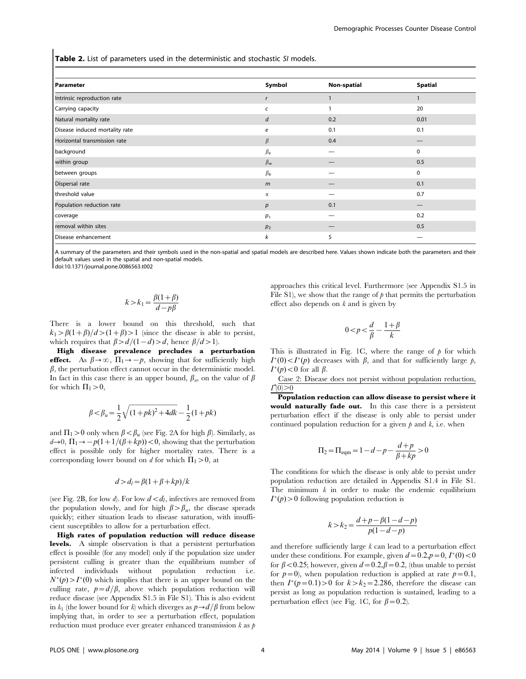Table 2. List of parameters used in the deterministic and stochastic SI models.

| Symbol         | <b>Non-spatial</b> | <b>Spatial</b> |
|----------------|--------------------|----------------|
|                |                    |                |
| C              |                    | 20             |
| d              | 0.2                | 0.01           |
| е              | 0.1                | 0.1            |
| $\beta$        | 0.4                |                |
| $\beta_e$      | —                  | 0              |
| $\beta_{w}$    |                    | 0.5            |
| $\beta_b$      |                    | $\mathbf 0$    |
| m              |                    | 0.1            |
| α              |                    | 0.7            |
| p              | 0.1                |                |
| $p_1$          |                    | 0.2            |
| p <sub>2</sub> |                    | 0.5            |
| k              | 5                  |                |
|                |                    |                |

A summary of the parameters and their symbols used in the non-spatial and spatial models are described here. Values shown indicate both the parameters and their default values used in the spatial and non-spatial models.

doi:10.1371/journal.pone.0086563.t002

$$
k > k_1 = \frac{\beta(1+\beta)}{d - p\beta}
$$

There is a lower bound on this threshold, such that  $k_1 > \beta(1+\beta)/d > (1+\beta) > 1$  (since the disease is able to persist, which requires that  $\beta>d/(1-d) > d$ , hence  $\beta/d>1$ .

High disease prevalence precludes a perturbation effect. As  $\beta \rightarrow \infty$ ,  $\Pi_1 \rightarrow -p$ , showing that for sufficiently high  $\beta$ , the perturbation effect cannot occur in the deterministic model. In fact in this case there is an upper bound,  $\beta_w$ , on the value of  $\beta$ for which  $\Pi_1>0$ ,

$$
\beta < \beta_u = \frac{1}{2} \sqrt{\left(1 + pk\right)^2 + 4dk} - \frac{1}{2} (1 + pk)
$$

and  $\Pi_1 > 0$  only when  $\beta < \beta_u$  (see Fig. 2A for high  $\beta$ ). Similarly, as  $d\rightarrow 0$ ,  $\Pi_1 \rightarrow -p(1+1/(\beta+kp))<0$ , showing that the perturbation effect is possible only for higher mortality rates. There is a corresponding lower bound on d for which  $\Pi_1 > 0$ , at

$$
d > d_l = \beta(1 + \beta + kp)/k
$$

(see Fig. 2B, for low d). For low  $d < d_l$ , infectives are removed from the population slowly, and for high  $\beta > \beta_u$ , the disease spreads quickly; either situation leads to disease saturation, with insufficient susceptibles to allow for a perturbation effect.

High rates of population reduction will reduce disease levels. A simple observation is that a persistent perturbation effect is possible (for any model) only if the population size under persistent culling is greater than the equilibrium number of infected individuals without population reduction i.e.  $N^*(p) > I^*(0)$  which implies that there is an upper bound on the culling rate,  $p=d/\beta$ , above which population reduction will reduce disease (see Appendix S1.5 in File S1). This is also evident in  $k_1$  (the lower bound for k) which diverges as  $p\rightarrow d/\beta$  from below implying that, in order to see a perturbation effect, population reduction must produce ever greater enhanced transmission  $k$  as  $p$  approaches this critical level. Furthermore (see Appendix S1.5 in File S1), we show that the range of  $\beta$  that permits the perturbation effect also depends on  $k$  and is given by

$$
0\!<\!p\!<\!\frac{d}{\beta}-\frac{1+\beta}{k}
$$

This is illustrated in Fig. 1C, where the range of  $\phi$  for which  $I^*(0) < I^*(p)$  decreases with  $\beta$ , and that for sufficiently large p,  $I^*(p)$  < 0 for all  $\beta$ .

Case 2: Disease does not persist without population reduction,  $I^*(0) > 0$ 

Population reduction can allow disease to persist where it would naturally fade out. In this case there is a persistent perturbation effect if the disease is only able to persist under continued population reduction for a given  $p$  and  $k$ , i.e. when

$$
\Pi_2 = \Pi_{\text{eqm}} = 1 - d - p - \frac{d+p}{\beta + kp} > 0
$$

The conditions for which the disease is only able to persist under population reduction are detailed in Appendix S1.4 in File S1. The minimum  $k$  in order to make the endemic equilibrium  $I^*(p) > 0$  following population reduction is

$$
k > k_2 = \frac{d+p-\beta(1-d-p)}{p(1-d-p)}
$$

and therefore sufficiently large  $k$  can lead to a perturbation effect under these conditions. For example, given  $d = 0.2$ ,  $p = 0$ ,  $I^*(0) < 0$ for  $\beta$  < 0.25; however, given  $d=0.2,\beta=0.2$ , (thus unable to persist for  $p=0$ , when population reduction is applied at rate  $p=0.1$ , then  $I^*(p=0.1) > 0$  for  $k > k_2 = 2.286$ , therefore the disease can persist as long as population reduction is sustained, leading to a perturbation effect (see Fig. 1C, for  $\beta$  = 0.2).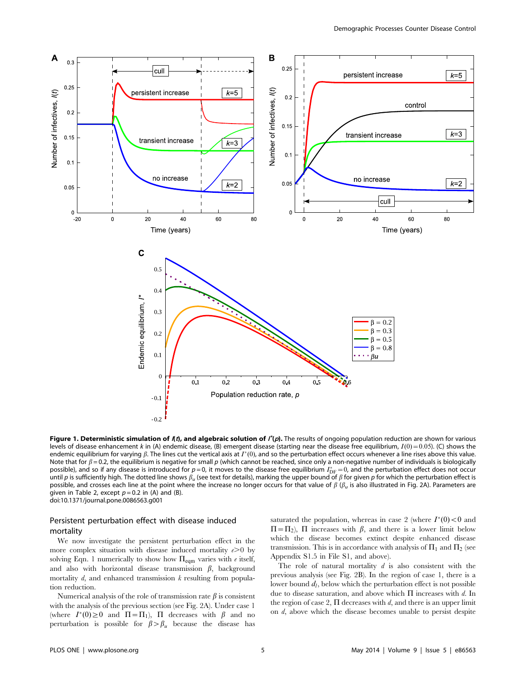

Figure 1. Deterministic simulation of  $I(t)$ , and algebraic solution of  $I^*(p)$ . The results of ongoing population reduction are shown for various levels of disease enhancement k in (A) endemic disease. (B) emergent disease (starting near the disease free equilibrium,  $I(0) = 0.05$ ). (C) shows the endemic equilibrium for varying  $\beta$ . The lines cut the vertical axis at  $I^*(0)$ , and so the perturbation effect occurs whenever a line rises above this value. Note that for  $\beta$  = 0.2, the equilibrium is negative for small p (which cannot be reached, since only a non-negative number of individuals is biologically possible), and so if any disease is introduced for  $p=0$ , it moves to the disease free equilibrium  $I_{\text{DF}}^{*}=0$ , and the perturbation effect does not occur until p is sufficiently high. The dotted line shows  $\beta_u$  (see text for details), marking the upper bound of  $\beta$  for given p for which the perturbation effect is possible, and crosses each line at the point where the increase no longer occurs for that value of  $\beta$  ( $\beta_u$  is also illustrated in Fig. 2A). Parameters are given in Table 2, except  $p = 0.2$  in (A) and (B). doi:10.1371/journal.pone.0086563.g001

## Persistent perturbation effect with disease induced mortality

We now investigate the persistent perturbation effect in the more complex situation with disease induced mortality  $e\geq 0$  by solving Eqn. 1 numerically to show how  $\Pi_{\text{eqm}}$  varies with  $e$  itself, and also with horizontal disease transmission  $\beta$ , background mortality  $d$ , and enhanced transmission  $k$  resulting from population reduction.

Numerical analysis of the role of transmission rate  $\beta$  is consistent with the analysis of the previous section (see Fig. 2A). Under case 1 (where  $I^*(0) \ge 0$  and  $\Pi = \Pi_1$ ),  $\Pi$  decreases with  $\beta$  and no perturbation is possible for  $\beta > \beta_u$  because the disease has

saturated the population, whereas in case 2 (where  $I^*(0)$  < 0 and  $\Pi = \Pi_2$ ),  $\Pi$  increases with  $\beta$ , and there is a lower limit below which the disease becomes extinct despite enhanced disease transmission. This is in accordance with analysis of  $\Pi_1$  and  $\Pi_2$  (see Appendix S1.5 in File S1, and above).

The role of natural mortality  $d$  is also consistent with the previous analysis (see Fig. 2B). In the region of case 1, there is a lower bound  $d_l$ , below which the perturbation effect is not possible due to disease saturation, and above which  $\Pi$  increases with d. In the region of case 2,  $\Pi$  decreases with  $d$ , and there is an upper limit on d, above which the disease becomes unable to persist despite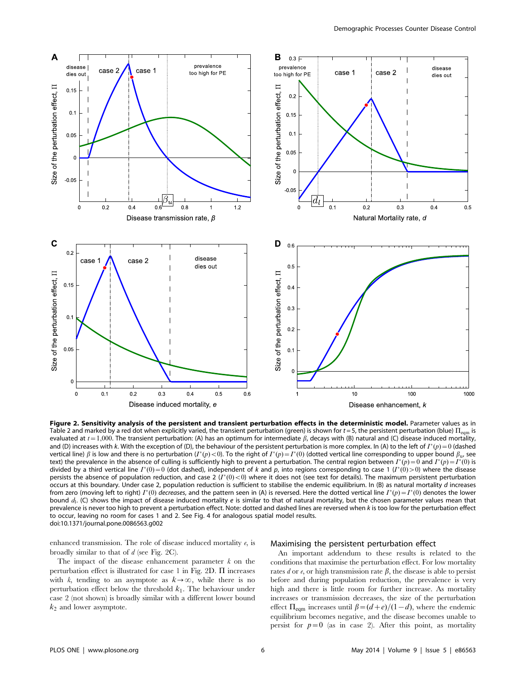

Figure 2. Sensitivity analysis of the persistent and transient perturbation effects in the deterministic model. Parameter values as in Table 2 and marked by a red dot when explicitly varied, the transient perturbation (green) is shown for  $t = 5$ , the persistent perturbation (blue)  $\Pi_{\text{eqm}}$  is evaluated at  $t=1,000$ . The transient perturbation: (A) has an optimum for intermediate  $\beta$ , decays with (B) natural and (C) disease induced mortality, and (D) increases with k. With the exception of (D), the behaviour of the persistent perturbation is more complex. In (A) to the left of  $I^*(p) = 0$  (dashed vertical line)  $\beta$  is low and there is no perturbation (I\*(p) < 0). To the right of  $I^*(p) = I^*(0)$  (dotted vertical line corresponding to upper bound  $\beta_{\rm u}$ , see text) the prevalence in the absence of culling is sufficiently high to prevent a perturbation. The central region between  $I^*(p) = 0$  and  $I^*(p) = I^*(0)$  is divided by a third vertical line  $I^*(0) = 0$  (dot dashed), independent of k and p, into regions corresponding to case 1 ( $I^*(0) > 0$ ) where the disease persists the absence of population reduction, and case 2  $(I^*(0) < 0)$  where it does not (see text for details). The maximum persistent perturbation occurs at this boundary. Under case 2, population reduction is sufficient to stabilise the endemic equilibrium. In (B) as natural mortality d increases from zero (moving left to right)  $I^*(0)$  decreases, and the pattern seen in (A) is reversed. Here the dotted vertical line  $I^*(p) = I^*(0)$  denotes the lower bound  $d<sub>l</sub>$ . (C) shows the impact of disease induced mortality e is similar to that of natural mortality, but the chosen parameter values mean that prevalence is never too high to prevent a perturbation effect. Note: dotted and dashed lines are reversed when k is too low for the perturbation effect to occur, leaving no room for cases 1 and 2. See Fig. 4 for analogous spatial model results. doi:10.1371/journal.pone.0086563.g002

enhanced transmission. The role of disease induced mortality e, is broadly similar to that of  $d$  (see Fig. 2C).

The impact of the disease enhancement parameter  $k$  on the perturbation effect is illustrated for case 1 in Fig. 2D.  $\Pi$  increases with k, tending to an asymptote as  $k \rightarrow \infty$ , while there is no perturbation effect below the threshold  $k_1$ . The behaviour under case 2 (not shown) is broadly similar with a different lower bound  $k_2$  and lower asymptote.

#### Maximising the persistent perturbation effect

An important addendum to these results is related to the conditions that maximise the perturbation effect. For low mortality rates d or  $e$ , or high transmission rate  $\beta$ , the disease is able to persist before and during population reduction, the prevalence is very high and there is little room for further increase. As mortality increases or transmission decreases, the size of the perturbation effect  $\Pi_{\text{eqm}}$  increases until  $\beta=(d+e)/(1-d)$ , where the endemic equilibrium becomes negative, and the disease becomes unable to persist for  $p=0$  (as in case 2). After this point, as mortality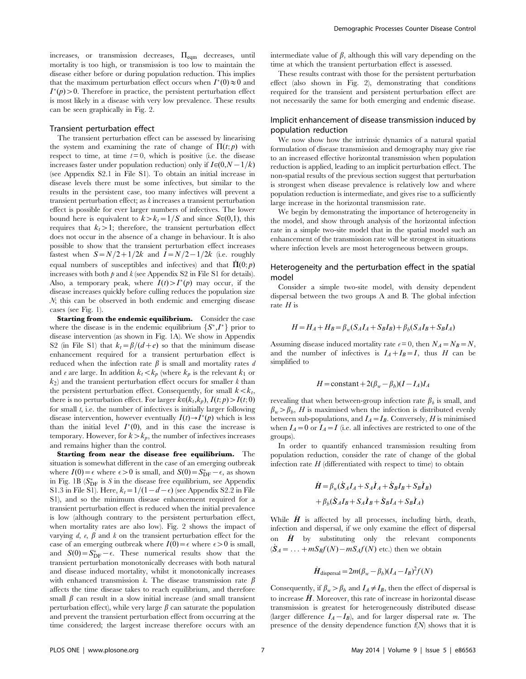increases, or transmission decreases,  $\Pi_{\text{eqm}}$  decreases, until mortality is too high, or transmission is too low to maintain the disease either before or during population reduction. This implies that the maximum perturbation effect occurs when  $I^*(0) \approx 0$  and  $I^*(p) > 0$ . Therefore in practice, the persistent perturbation effect is most likely in a disease with very low prevalence. These results can be seen graphically in Fig. 2.

#### Transient perturbation effect

The transient perturbation effect can be assessed by linearising the system and examining the rate of change of  $\Pi(t; p)$  with respect to time, at time  $t = 0$ , which is positive (i.e. the disease increases faster under population reduction) only if  $I\in(0,N-1/k)$ (see Appendix S2.1 in File S1). To obtain an initial increase in disease levels there must be some infectives, but similar to the results in the persistent case, too many infectives will prevent a transient perturbation effect; as k increases a transient perturbation effect is possible for ever larger numbers of infectives. The lower bound here is equivalent to  $k > k_t = 1/S$  and since  $S(0,1)$ , this requires that  $k_t > 1$ ; therefore, the transient perturbation effect does not occur in the absence of a change in behaviour. It is also possible to show that the transient perturbation effect increases fastest when  $S=N/2+1/2k$  and  $I=N/2-1/2k$  (i.e. roughly equal numbers of susceptibles and infectives) and that  $\Pi (0; p)$ increases with both  $p$  and  $k$  (see Appendix S2 in File S1 for details). Also, a temporary peak, where  $I(t) > I^*(p)$  may occur, if the disease increases quickly before culling reduces the population size N; this can be observed in both endemic and emerging disease cases (see Fig. 1).

Starting from the endemic equilibrium. Consider the case where the disease is in the endemic equilibrium  $\{S^*, I^*\}$  prior to disease intervention (as shown in Fig. 1A). We show in Appendix S2 (in File S1) that  $k_t = \frac{\beta}{d+e}$  so that the minimum disease enhancement required for a transient perturbation effect is reduced when the infection rate  $\beta$  is small and mortality rates d and e are large. In addition  $k_t < k_p$  (where  $k_p$  is the relevant  $k_1$  or  $k_2$ ) and the transient perturbation effect occurs for smaller k than the persistent perturbation effect. Consequently, for small  $k < k_t$ , there is no perturbation effect. For larger  $k\in (k_t,k_p)$ ,  $I(t; p) > I(t; 0)$ for small  $t$ , i.e. the number of infectives is initially larger following disease intervention, however eventually  $I(t) \rightarrow I^*(p)$  which is less than the initial level  $I^*(0)$ , and in this case the increase is temporary. However, for  $k > k_p$ , the number of infectives increases and remains higher than the control.

Starting from near the disease free equilibrium. The situation is somewhat different in the case of an emerging outbreak where  $I(0) = \epsilon$  where  $\epsilon > 0$  is small, and  $S(0) = S_{\text{DF}}^* - \epsilon$ , as shown in Fig. 1B ( $S_{\rm DF}^*$  is S in the disease free equilibrium, see Appendix S1.3 in File S1). Here,  $k_t = 1/(1-d-\epsilon)$  (see Appendix S2.2 in File S1), and so the minimum disease enhancement required for a transient perturbation effect is reduced when the initial prevalence is low (although contrary to the persistent perturbation effect, when mortality rates are also low). Fig. 2 shows the impact of varying d, e,  $\beta$  and k on the transient perturbation effect for the case of an emerging outbreak where  $I(0) = \epsilon$  where  $\epsilon > 0$  is small, and  $S(0) = S_{\text{DF}}^* - \epsilon$ . These numerical results show that the transient perturbation monotonically decreases with both natural and disease induced mortality, whilst it monotonically increases with enhanced transmission k. The disease transmission rate  $\beta$ affects the time disease takes to reach equilibrium, and therefore small  $\beta$  can result in a slow initial increase (and small transient perturbation effect), while very large  $\beta$  can saturate the population and prevent the transient perturbation effect from occurring at the time considered; the largest increase therefore occurs with an intermediate value of  $\beta$ , although this will vary depending on the time at which the transient perturbation effect is assessed.

These results contrast with those for the persistent perturbation effect (also shown in Fig. 2), demonstrating that conditions required for the transient and persistent perturbation effect are not necessarily the same for both emerging and endemic disease.

## Implicit enhancement of disease transmission induced by population reduction

We now show how the intrinsic dynamics of a natural spatial formulation of disease transmission and demography may give rise to an increased effective horizontal transmission when population reduction is applied, leading to an implicit perturbation effect. The non-spatial results of the previous section suggest that perturbation is strongest when disease prevalence is relatively low and where population reduction is intermediate, and gives rise to a sufficiently large increase in the horizontal transmission rate.

We begin by demonstrating the importance of heterogeneity in the model, and show through analysis of the horizontal infection rate in a simple two-site model that in the spatial model such an enhancement of the transmission rate will be strongest in situations where infection levels are most heterogeneous between groups.

## Heterogeneity and the perturbation effect in the spatial model

Consider a simple two-site model, with density dependent dispersal between the two groups A and B. The global infection rate  $H$  is

$$
H = H_A + H_B = \beta_w (S_A I_A + S_B I_B) + \beta_b (S_A I_B + S_B I_A)
$$

Assuming disease induced mortality rate  $e=0$ , then  $N_A=N_B=N$ , and the number of infectives is  $I_A+I_B=I$ , thus H can be simplified to

$$
H = \text{constant} + 2(\beta_w - \beta_b)(I - I_A)I_A
$$

revealing that when between-group infection rate  $\beta_h$  is small, and  $\beta_w > \beta_b$ , H is maximised when the infection is distributed evenly between sub-populations, and  $I_A=I_B$ . Conversely, H is minimised when  $I_A=0$  or  $I_A=I$  (i.e. all infectives are restricted to one of the groups).

In order to quantify enhanced transmission resulting from population reduction, consider the rate of change of the global infection rate  $H$  (differentiated with respect to time) to obtain

$$
\dot{H} = \beta_w (\dot{S}_A I_A + S_A \dot{I}_A + \dot{S}_B I_B + S_B \dot{I}_B)
$$

$$
+ \beta_b (\dot{S}_A I_B + S_A \dot{I}_B + \dot{S}_B I_A + S_B \dot{I}_A)
$$

While  $\dot{H}$  is affected by all processes, including birth, death, infection and dispersal, if we only examine the effect of dispersal on  $\dot{H}$  by substituting only the relevant components  $(\mathbf{S}_A = \ldots + mS_B f(N) - mS_A f(N)$  etc.) then we obtain

$$
\dot{H}_{\text{dispersal}} = 2m(\beta_w - \beta_b)(I_A - I_B)^2 f(N)
$$

Consequently, if  $\beta_w > \beta_b$  and  $I_A \neq I_B$ , then the effect of dispersal is to increase  $\dot{H}$ . Moreover, this rate of increase in horizontal disease transmission is greatest for heterogeneously distributed disease (larger difference  $I_A - I_B$ ), and for larger dispersal rate m. The presence of the density dependence function  $f(N)$  shows that it is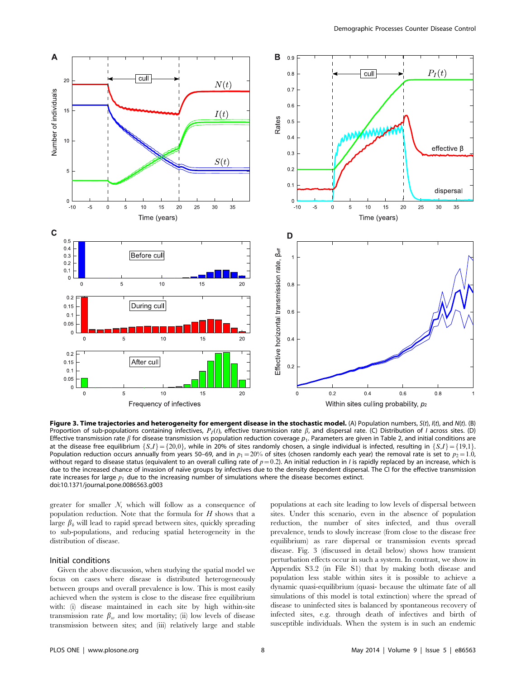

Figure 3. Time trajectories and heterogeneity for emergent disease in the stochastic model. (A) Population numbers,  $S(t)$ ,  $I(t)$ , and  $N(t)$ . (B) Proportion of sub-populations containing infectives,  $P_I(t)$ , effective transmission rate  $\beta$ , and dispersal rate. (C) Distribution of *I* across sites. (D) Effective transmission rate  $\beta$  for disease transmission vs population reduction coverage  $p_1$ . Parameters are given in Table 2, and initial conditions are at the disease free equilibrium  $\{S,I\} = \{20,0\}$ , while in 20% of sites randomly chosen, a single individual is infected, resulting in  $\{S,I\} = \{19,1\}$ . Population reduction occurs annually from years 50–69, and in  $p_1 = 20%$  of sites (chosen randomly each year) the removal rate is set to  $p_2 = 1.0$ , without regard to disease status (equivalent to an overall culling rate of  $p=0.2$ ). An initial reduction in *I* is rapidly replaced by an increase, which is due to the increased chance of invasion of naïve groups by infectives due to the density dependent dispersal. The CI for the effective transmission rate increases for large  $p_1$  due to the increasing number of simulations where the disease becomes extinct. doi:10.1371/journal.pone.0086563.g003

greater for smaller N, which will follow as a consequence of population reduction. Note that the formula for  $H$  shows that a large  $\beta_b$  will lead to rapid spread between sites, quickly spreading to sub-populations, and reducing spatial heterogeneity in the distribution of disease.

## Initial conditions

Given the above discussion, when studying the spatial model we focus on cases where disease is distributed heterogeneously between groups and overall prevalence is low. This is most easily achieved when the system is close to the disease free equilibrium with: (i) disease maintained in each site by high within-site transmission rate  $\beta_w$  and low mortality; (ii) low levels of disease transmission between sites; and (iii) relatively large and stable

populations at each site leading to low levels of dispersal between sites. Under this scenario, even in the absence of population reduction, the number of sites infected, and thus overall prevalence, tends to slowly increase (from close to the disease free equilibrium) as rare dispersal or transmission events spread disease. Fig. 3 (discussed in detail below) shows how transient perturbation effects occur in such a system. In contrast, we show in Appendix S3.2 (in File S1) that by making both disease and population less stable within sites it is possible to achieve a dynamic quasi-equilibrium (quasi- because the ultimate fate of all simulations of this model is total extinction) where the spread of disease to uninfected sites is balanced by spontaneous recovery of infected sites, e.g. through death of infectives and birth of susceptible individuals. When the system is in such an endemic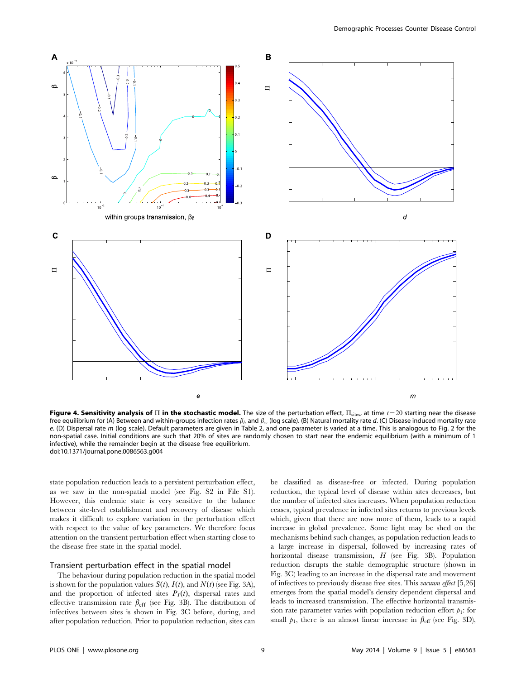

Figure 4. Sensitivity analysis of  $\Pi$  in the stochastic model. The size of the perturbation effect,  $\Pi_{\text{sites}}$ , at time  $t=20$  starting near the disease free equilibrium for (A) Between and within-groups infection rates  $\beta_h$  and  $\beta_w$  (log scale). (B) Natural mortality rate d. (C) Disease induced mortality rate e. (D) Dispersal rate m (log scale). Default parameters are given in Table 2, and one parameter is varied at a time. This is analogous to Fig. 2 for the non-spatial case. Initial conditions are such that 20% of sites are randomly chosen to start near the endemic equilibrium (with a minimum of 1 infective), while the remainder begin at the disease free equilibrium. doi:10.1371/journal.pone.0086563.g004

state population reduction leads to a persistent perturbation effect, as we saw in the non-spatial model (see Fig. S2 in File S1). However, this endemic state is very sensitive to the balance between site-level establishment and recovery of disease which makes it difficult to explore variation in the perturbation effect with respect to the value of key parameters. We therefore focus attention on the transient perturbation effect when starting close to the disease free state in the spatial model.

#### Transient perturbation effect in the spatial model

The behaviour during population reduction in the spatial model is shown for the population values  $S(t)$ ,  $I(t)$ , and  $N(t)$  (see Fig. 3A), and the proportion of infected sites  $P_I(t)$ , dispersal rates and effective transmission rate  $\beta_{\text{eff}}$  (see Fig. 3B). The distribution of infectives between sites is shown in Fig. 3C before, during, and after population reduction. Prior to population reduction, sites can be classified as disease-free or infected. During population reduction, the typical level of disease within sites decreases, but the number of infected sites increases. When population reduction ceases, typical prevalence in infected sites returns to previous levels which, given that there are now more of them, leads to a rapid increase in global prevalence. Some light may be shed on the mechanisms behind such changes, as population reduction leads to a large increase in dispersal, followed by increasing rates of horizontal disease transmission, H (see Fig. 3B). Population reduction disrupts the stable demographic structure (shown in Fig. 3C) leading to an increase in the dispersal rate and movement of infectives to previously disease free sites. This vacuum effect [5,26] emerges from the spatial model's density dependent dispersal and leads to increased transmission. The effective horizontal transmission rate parameter varies with population reduction effort  $p_1$ : for small  $p_1$ , there is an almost linear increase in  $\beta_{\text{eff}}$  (see Fig. 3D),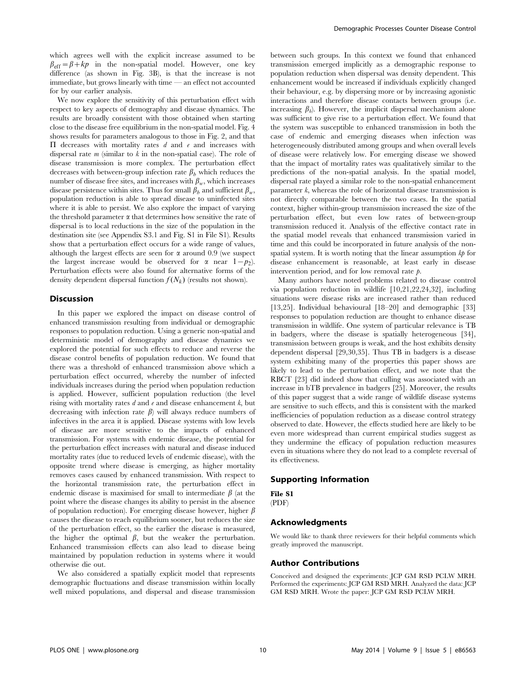which agrees well with the explicit increase assumed to be  $\beta_{\text{eff}} = \beta + kp$  in the non-spatial model. However, one key difference (as shown in Fig. 3B), is that the increase is not immediate, but grows linearly with time — an effect not accounted for by our earlier analysis.

We now explore the sensitivity of this perturbation effect with respect to key aspects of demography and disease dynamics. The results are broadly consistent with those obtained when starting close to the disease free equilibrium in the non-spatial model. Fig. 4 shows results for parameters analogous to those in Fig. 2, and that  $\Pi$  decreases with mortality rates  $d$  and  $e$  and increases with dispersal rate  $m$  (similar to  $k$  in the non-spatial case). The role of disease transmission is more complex. The perturbation effect decreases with between-group infection rate  $\beta_h$  which reduces the number of disease free sites, and increases with  $\beta_w$ , which increases disease persistence within sites. Thus for small  $\beta_b$  and sufficient  $\beta_w$ , population reduction is able to spread disease to uninfected sites where it is able to persist. We also explore the impact of varying the threshold parameter  $\alpha$  that determines how sensitive the rate of dispersal is to local reductions in the size of the population in the destination site (see Appendix S3.1 and Fig. S1 in File S1). Results show that a perturbation effect occurs for a wide range of values, although the largest effects are seen for  $\alpha$  around 0.9 (we suspect the largest increase would be observed for  $\alpha$  near  $1-p_2$ . Perturbation effects were also found for alternative forms of the density dependent dispersal function  $f(N_k)$  (results not shown).

## Discussion

In this paper we explored the impact on disease control of enhanced transmission resulting from individual or demographic responses to population reduction. Using a generic non-spatial and deterministic model of demography and disease dynamics we explored the potential for such effects to reduce and reverse the disease control benefits of population reduction. We found that there was a threshold of enhanced transmission above which a perturbation effect occurred, whereby the number of infected individuals increases during the period when population reduction is applied. However, sufficient population reduction (the level rising with mortality rates  $d$  and  $e$  and disease enhancement  $k$ , but decreasing with infection rate  $\beta$ ) will always reduce numbers of infectives in the area it is applied. Disease systems with low levels of disease are more sensitive to the impacts of enhanced transmission. For systems with endemic disease, the potential for the perturbation effect increases with natural and disease induced mortality rates (due to reduced levels of endemic disease), with the opposite trend where disease is emerging, as higher mortality removes cases caused by enhanced transmission. With respect to the horizontal transmission rate, the perturbation effect in endemic disease is maximised for small to intermediate  $\beta$  (at the point where the disease changes its ability to persist in the absence of population reduction). For emerging disease however, higher  $\beta$ causes the disease to reach equilibrium sooner, but reduces the size of the perturbation effect, so the earlier the disease is measured, the higher the optimal  $\beta$ , but the weaker the perturbation. Enhanced transmission effects can also lead to disease being maintained by population reduction in systems where it would otherwise die out.

We also considered a spatially explicit model that represents demographic fluctuations and disease transmission within locally well mixed populations, and dispersal and disease transmission between such groups. In this context we found that enhanced transmission emerged implicitly as a demographic response to population reduction when dispersal was density dependent. This enhancement would be increased if individuals explicitly changed their behaviour, e.g. by dispersing more or by increasing agonistic interactions and therefore disease contacts between groups (i.e. increasing  $\beta_b$ ). However, the implicit dispersal mechanism alone was sufficient to give rise to a perturbation effect. We found that the system was susceptible to enhanced transmission in both the case of endemic and emerging diseases when infection was heterogeneously distributed among groups and when overall levels of disease were relatively low. For emerging disease we showed that the impact of mortality rates was qualitatively similar to the predictions of the non-spatial analysis. In the spatial model, dispersal rate played a similar role to the non-spatial enhancement parameter k, whereas the role of horizontal disease transmission is not directly comparable between the two cases. In the spatial context, higher within-group transmission increased the size of the perturbation effect, but even low rates of between-group transmission reduced it. Analysis of the effective contact rate in the spatial model reveals that enhanced transmission varied in time and this could be incorporated in future analysis of the nonspatial system. It is worth noting that the linear assumption  $k\phi$  for disease enhancement is reasonable, at least early in disease intervention period, and for low removal rate *.* 

Many authors have noted problems related to disease control via population reduction in wildlife [10,21,22,24,32], including situations were disease risks are increased rather than reduced [13,25]. Individual behavioural [18–20] and demographic [33] responses to population reduction are thought to enhance disease transmission in wildlife. One system of particular relevance is TB in badgers, where the disease is spatially heterogeneous [34], transmission between groups is weak, and the host exhibits density dependent dispersal [29,30,35]. Thus TB in badgers is a disease system exhibiting many of the properties this paper shows are likely to lead to the perturbation effect, and we note that the RBCT [23] did indeed show that culling was associated with an increase in bTB prevalence in badgers [25]. Moreover, the results of this paper suggest that a wide range of wildlife disease systems are sensitive to such effects, and this is consistent with the marked inefficiencies of population reduction as a disease control strategy observed to date. However, the effects studied here are likely to be even more widespread than current empirical studies suggest as they undermine the efficacy of population reduction measures even in situations where they do not lead to a complete reversal of its effectiveness.

#### Supporting Information

File S1

## (PDF)

#### Acknowledgments

We would like to thank three reviewers for their helpful comments which greatly improved the manuscript.

#### Author Contributions

Conceived and designed the experiments: JCP GM RSD PCLW MRH. Performed the experiments: JCP GM RSD MRH. Analyzed the data: JCP GM RSD MRH. Wrote the paper: JCP GM RSD PCLW MRH.